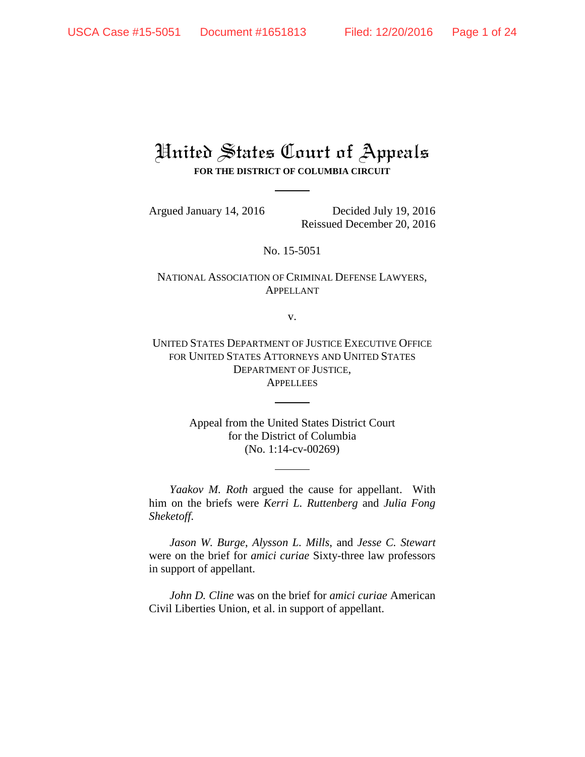# United States Court of Appeals **FOR THE DISTRICT OF COLUMBIA CIRCUIT**

Argued January 14, 2016 Decided July 19, 2016 Reissued December 20, 2016

No. 15-5051

NATIONAL ASSOCIATION OF CRIMINAL DEFENSE LAWYERS, APPELLANT

v.

UNITED STATES DEPARTMENT OF JUSTICE EXECUTIVE OFFICE FOR UNITED STATES ATTORNEYS AND UNITED STATES DEPARTMENT OF JUSTICE, **APPELLEES** 

> Appeal from the United States District Court for the District of Columbia (No. 1:14-cv-00269)

*Yaakov M. Roth* argued the cause for appellant. With him on the briefs were *Kerri L. Ruttenberg* and *Julia Fong Sheketoff*.

*Jason W. Burge*, *Alysson L. Mills*, and *Jesse C. Stewart* were on the brief for *amici curiae* Sixty-three law professors in support of appellant.

*John D. Cline* was on the brief for *amici curiae* American Civil Liberties Union, et al. in support of appellant.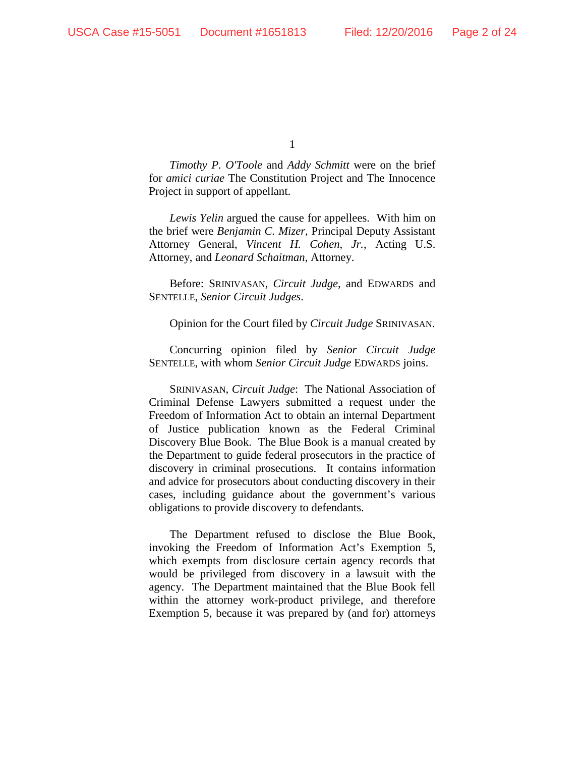*Timothy P. O'Toole* and *Addy Schmitt* were on the brief for *amici curiae* The Constitution Project and The Innocence Project in support of appellant.

*Lewis Yelin* argued the cause for appellees. With him on the brief were *Benjamin C. Mizer*, Principal Deputy Assistant Attorney General, *Vincent H. Cohen*, *Jr.*, Acting U.S. Attorney, and *Leonard Schaitman*, Attorney.

Before: SRINIVASAN, *Circuit Judge*, and EDWARDS and SENTELLE, *Senior Circuit Judges*.

Opinion for the Court filed by *Circuit Judge* SRINIVASAN.

Concurring opinion filed by *Senior Circuit Judge* SENTELLE, with whom *Senior Circuit Judge* EDWARDS joins.

SRINIVASAN, *Circuit Judge*: The National Association of Criminal Defense Lawyers submitted a request under the Freedom of Information Act to obtain an internal Department of Justice publication known as the Federal Criminal Discovery Blue Book. The Blue Book is a manual created by the Department to guide federal prosecutors in the practice of discovery in criminal prosecutions. It contains information and advice for prosecutors about conducting discovery in their cases, including guidance about the government's various obligations to provide discovery to defendants.

The Department refused to disclose the Blue Book, invoking the Freedom of Information Act's Exemption 5, which exempts from disclosure certain agency records that would be privileged from discovery in a lawsuit with the agency. The Department maintained that the Blue Book fell within the attorney work-product privilege, and therefore Exemption 5, because it was prepared by (and for) attorneys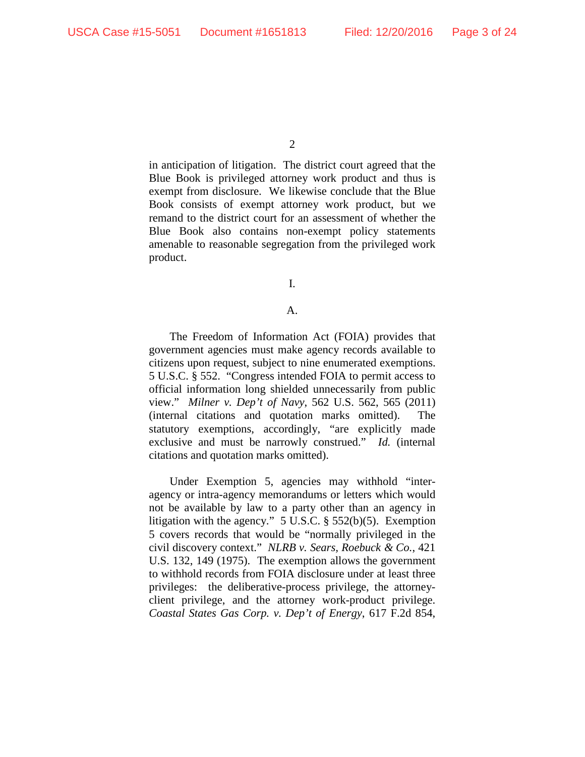$\mathcal{L}$ 

in anticipation of litigation. The district court agreed that the Blue Book is privileged attorney work product and thus is exempt from disclosure. We likewise conclude that the Blue Book consists of exempt attorney work product, but we remand to the district court for an assessment of whether the Blue Book also contains non-exempt policy statements amenable to reasonable segregation from the privileged work product.

I.

## A.

The Freedom of Information Act (FOIA) provides that government agencies must make agency records available to citizens upon request, subject to nine enumerated exemptions. 5 U.S.C. § 552. "Congress intended FOIA to permit access to official information long shielded unnecessarily from public view." *Milner v. Dep't of Navy*, 562 U.S. 562, 565 (2011) (internal citations and quotation marks omitted). The statutory exemptions, accordingly, "are explicitly made exclusive and must be narrowly construed." *Id.* (internal citations and quotation marks omitted).

Under Exemption 5, agencies may withhold "interagency or intra-agency memorandums or letters which would not be available by law to a party other than an agency in litigation with the agency." 5 U.S.C. § 552(b)(5). Exemption 5 covers records that would be "normally privileged in the civil discovery context." *NLRB v. Sears, Roebuck & Co.*, 421 U.S. 132, 149 (1975). The exemption allows the government to withhold records from FOIA disclosure under at least three privileges: the deliberative-process privilege, the attorneyclient privilege, and the attorney work-product privilege. *Coastal States Gas Corp. v. Dep't of Energy*, 617 F.2d 854,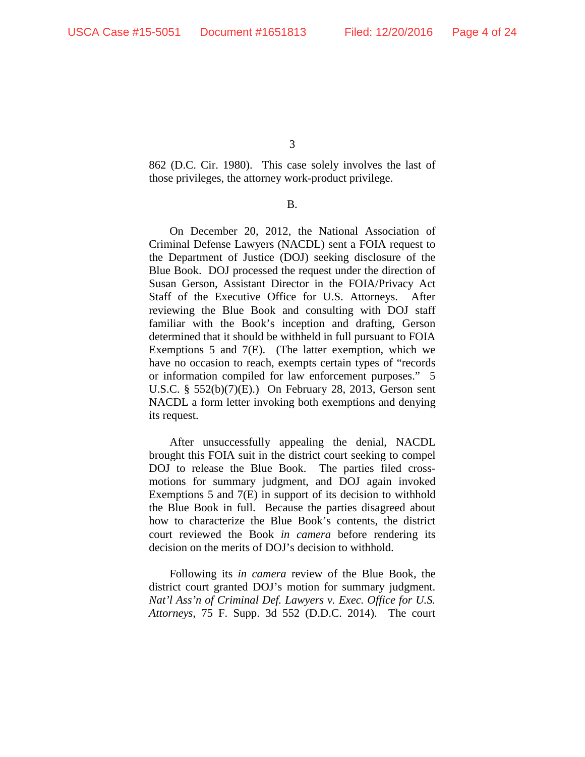862 (D.C. Cir. 1980).This case solely involves the last of those privileges, the attorney work-product privilege.

B.

On December 20, 2012, the National Association of Criminal Defense Lawyers (NACDL) sent a FOIA request to the Department of Justice (DOJ) seeking disclosure of the Blue Book. DOJ processed the request under the direction of Susan Gerson, Assistant Director in the FOIA/Privacy Act Staff of the Executive Office for U.S. Attorneys. After reviewing the Blue Book and consulting with DOJ staff familiar with the Book's inception and drafting, Gerson determined that it should be withheld in full pursuant to FOIA Exemptions 5 and 7(E). (The latter exemption, which we have no occasion to reach, exempts certain types of "records or information compiled for law enforcement purposes." 5 U.S.C. § 552(b)(7)(E).) On February 28, 2013, Gerson sent NACDL a form letter invoking both exemptions and denying its request.

After unsuccessfully appealing the denial, NACDL brought this FOIA suit in the district court seeking to compel DOJ to release the Blue Book. The parties filed crossmotions for summary judgment, and DOJ again invoked Exemptions 5 and 7(E) in support of its decision to withhold the Blue Book in full. Because the parties disagreed about how to characterize the Blue Book's contents, the district court reviewed the Book *in camera* before rendering its decision on the merits of DOJ's decision to withhold.

Following its *in camera* review of the Blue Book, the district court granted DOJ's motion for summary judgment. *Nat'l Ass'n of Criminal Def. Lawyers v. Exec. Office for U.S. Attorneys*, 75 F. Supp. 3d 552 (D.D.C. 2014). The court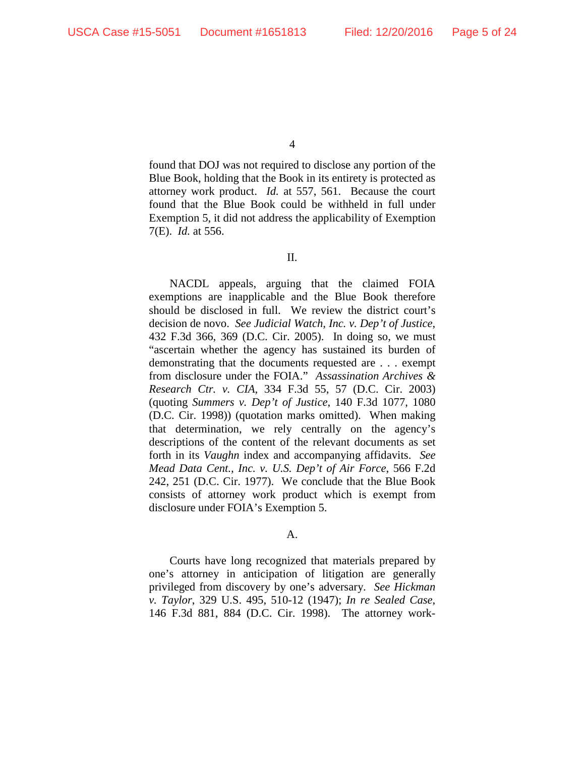found that DOJ was not required to disclose any portion of the Blue Book, holding that the Book in its entirety is protected as attorney work product. *Id.* at 557, 561. Because the court found that the Blue Book could be withheld in full under Exemption 5, it did not address the applicability of Exemption 7(E). *Id.* at 556.

## II.

NACDL appeals, arguing that the claimed FOIA exemptions are inapplicable and the Blue Book therefore should be disclosed in full. We review the district court's decision de novo. *See Judicial Watch, Inc. v. Dep't of Justice*, 432 F.3d 366, 369 (D.C. Cir. 2005). In doing so, we must "ascertain whether the agency has sustained its burden of demonstrating that the documents requested are . . . exempt from disclosure under the FOIA." *Assassination Archives & Research Ctr. v. CIA*, 334 F.3d 55, 57 (D.C. Cir. 2003) (quoting *Summers v. Dep't of Justice*, 140 F.3d 1077, 1080 (D.C. Cir. 1998)) (quotation marks omitted). When making that determination, we rely centrally on the agency's descriptions of the content of the relevant documents as set forth in its *Vaughn* index and accompanying affidavits. *See Mead Data Cent., Inc. v. U.S. Dep't of Air Force*, 566 F.2d 242, 251 (D.C. Cir. 1977). We conclude that the Blue Book consists of attorney work product which is exempt from disclosure under FOIA's Exemption 5.

## A.

Courts have long recognized that materials prepared by one's attorney in anticipation of litigation are generally privileged from discovery by one's adversary. *See Hickman v. Taylor*, 329 U.S. 495, 510-12 (1947); *In re Sealed Case*, 146 F.3d 881, 884 (D.C. Cir. 1998). The attorney work-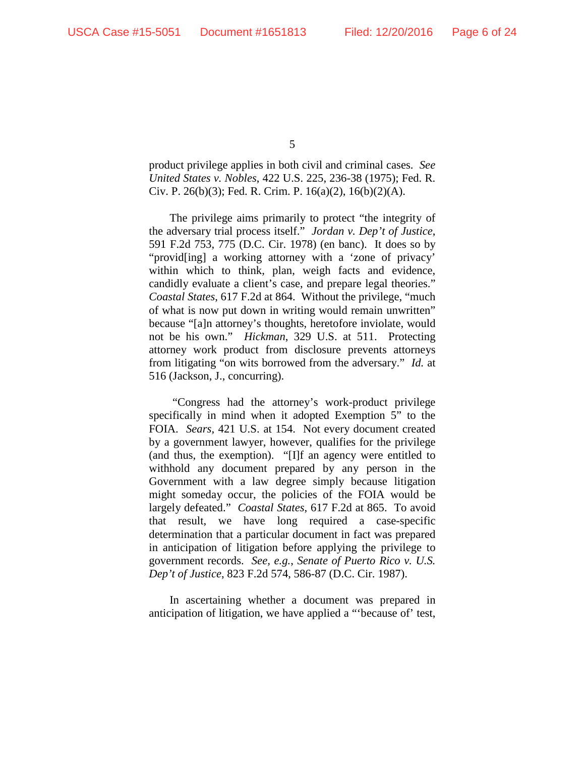product privilege applies in both civil and criminal cases. *See United States v. Nobles*, 422 U.S. 225, 236-38 (1975); Fed. R. Civ. P. 26(b)(3); Fed. R. Crim. P. 16(a)(2), 16(b)(2)(A).

The privilege aims primarily to protect "the integrity of the adversary trial process itself." *Jordan v. Dep't of Justice*, 591 F.2d 753, 775 (D.C. Cir. 1978) (en banc). It does so by "provid[ing] a working attorney with a 'zone of privacy' within which to think, plan, weigh facts and evidence, candidly evaluate a client's case, and prepare legal theories." *Coastal States*, 617 F.2d at 864. Without the privilege, "much of what is now put down in writing would remain unwritten" because "[a]n attorney's thoughts, heretofore inviolate, would not be his own." *Hickman*, 329 U.S. at 511. Protecting attorney work product from disclosure prevents attorneys from litigating "on wits borrowed from the adversary." *Id.* at 516 (Jackson, J., concurring).

"Congress had the attorney's work-product privilege specifically in mind when it adopted Exemption 5" to the FOIA. *Sears*, 421 U.S. at 154. Not every document created by a government lawyer, however, qualifies for the privilege (and thus, the exemption). "[I]f an agency were entitled to withhold any document prepared by any person in the Government with a law degree simply because litigation might someday occur, the policies of the FOIA would be largely defeated." *Coastal States*, 617 F.2d at 865. To avoid that result, we have long required a case-specific determination that a particular document in fact was prepared in anticipation of litigation before applying the privilege to government records. *See, e.g.*, *Senate of Puerto Rico v. U.S. Dep't of Justice*, 823 F.2d 574, 586-87 (D.C. Cir. 1987).

In ascertaining whether a document was prepared in anticipation of litigation, we have applied a "'because of' test,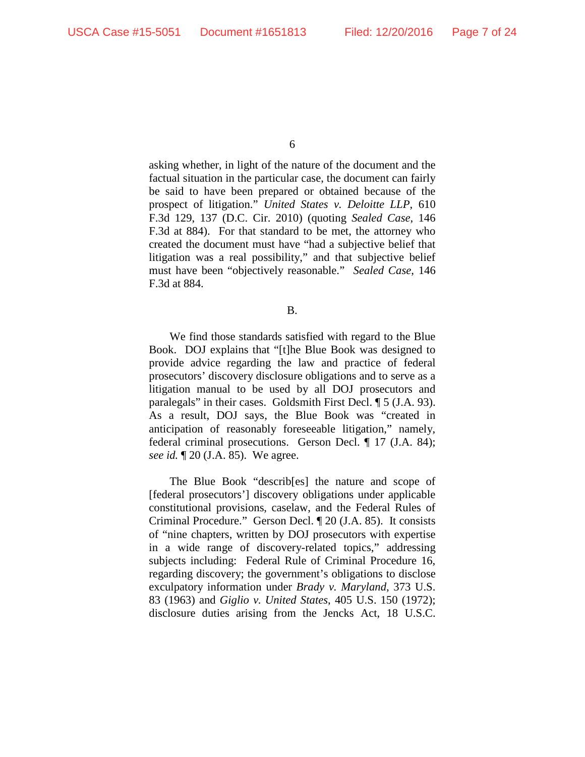asking whether, in light of the nature of the document and the factual situation in the particular case, the document can fairly be said to have been prepared or obtained because of the prospect of litigation." *United States v. Deloitte LLP*, 610 F.3d 129, 137 (D.C. Cir. 2010) (quoting *Sealed Case*, 146 F.3d at 884). For that standard to be met, the attorney who created the document must have "had a subjective belief that litigation was a real possibility," and that subjective belief must have been "objectively reasonable." *Sealed Case*, 146 F.3d at 884.

B.

We find those standards satisfied with regard to the Blue Book. DOJ explains that "[t]he Blue Book was designed to provide advice regarding the law and practice of federal prosecutors' discovery disclosure obligations and to serve as a litigation manual to be used by all DOJ prosecutors and paralegals" in their cases. Goldsmith First Decl. ¶ 5 (J.A. 93). As a result, DOJ says, the Blue Book was "created in anticipation of reasonably foreseeable litigation," namely, federal criminal prosecutions. Gerson Decl. ¶ 17 (J.A. 84); *see id.* ¶ 20 (J.A. 85). We agree.

The Blue Book "describ[es] the nature and scope of [federal prosecutors'] discovery obligations under applicable constitutional provisions, caselaw, and the Federal Rules of Criminal Procedure." Gerson Decl. ¶ 20 (J.A. 85). It consists of "nine chapters, written by DOJ prosecutors with expertise in a wide range of discovery-related topics," addressing subjects including: Federal Rule of Criminal Procedure 16, regarding discovery; the government's obligations to disclose exculpatory information under *Brady v. Maryland*, 373 U.S. 83 (1963) and *Giglio v. United States*, 405 U.S. 150 (1972); disclosure duties arising from the Jencks Act, 18 U.S.C.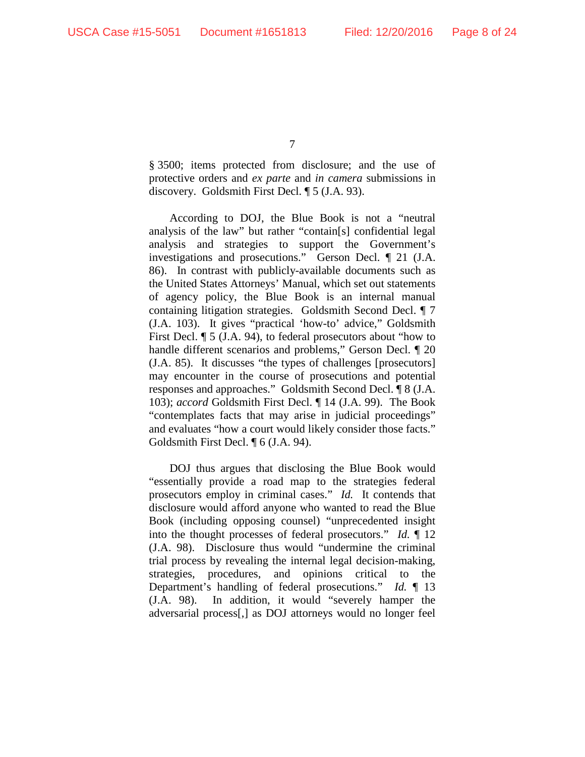§ 3500; items protected from disclosure; and the use of protective orders and *ex parte* and *in camera* submissions in discovery. Goldsmith First Decl. ¶ 5 (J.A. 93).

According to DOJ, the Blue Book is not a "neutral analysis of the law" but rather "contain[s] confidential legal analysis and strategies to support the Government's investigations and prosecutions." Gerson Decl. ¶ 21 (J.A. 86). In contrast with publicly-available documents such as the United States Attorneys' Manual, which set out statements of agency policy, the Blue Book is an internal manual containing litigation strategies. Goldsmith Second Decl. ¶ 7 (J.A. 103). It gives "practical 'how-to' advice," Goldsmith First Decl. ¶ 5 (J.A. 94), to federal prosecutors about "how to handle different scenarios and problems," Gerson Decl. ¶ 20 (J.A. 85). It discusses "the types of challenges [prosecutors] may encounter in the course of prosecutions and potential responses and approaches." Goldsmith Second Decl. ¶ 8 (J.A. 103); *accord* Goldsmith First Decl. ¶ 14 (J.A. 99). The Book "contemplates facts that may arise in judicial proceedings" and evaluates "how a court would likely consider those facts." Goldsmith First Decl. ¶ 6 (J.A. 94).

DOJ thus argues that disclosing the Blue Book would "essentially provide a road map to the strategies federal prosecutors employ in criminal cases." *Id.* It contends that disclosure would afford anyone who wanted to read the Blue Book (including opposing counsel) "unprecedented insight into the thought processes of federal prosecutors." *Id.* ¶ 12 (J.A. 98). Disclosure thus would "undermine the criminal trial process by revealing the internal legal decision-making, strategies, procedures, and opinions critical to the Department's handling of federal prosecutions." *Id.* ¶ 13 (J.A. 98). In addition, it would "severely hamper the adversarial process[,] as DOJ attorneys would no longer feel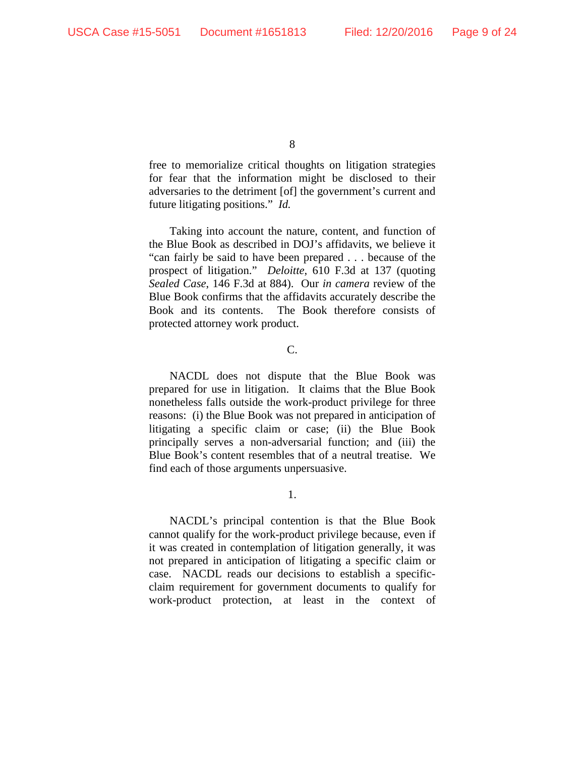free to memorialize critical thoughts on litigation strategies for fear that the information might be disclosed to their adversaries to the detriment [of] the government's current and future litigating positions." *Id.*

Taking into account the nature, content, and function of the Blue Book as described in DOJ's affidavits, we believe it "can fairly be said to have been prepared . . . because of the prospect of litigation." *Deloitte*, 610 F.3d at 137 (quoting *Sealed Case*, 146 F.3d at 884). Our *in camera* review of the Blue Book confirms that the affidavits accurately describe the Book and its contents. The Book therefore consists of protected attorney work product.

## C.

NACDL does not dispute that the Blue Book was prepared for use in litigation. It claims that the Blue Book nonetheless falls outside the work-product privilege for three reasons: (i) the Blue Book was not prepared in anticipation of litigating a specific claim or case; (ii) the Blue Book principally serves a non-adversarial function; and (iii) the Blue Book's content resembles that of a neutral treatise. We find each of those arguments unpersuasive.

1.

NACDL's principal contention is that the Blue Book cannot qualify for the work-product privilege because, even if it was created in contemplation of litigation generally, it was not prepared in anticipation of litigating a specific claim or case. NACDL reads our decisions to establish a specificclaim requirement for government documents to qualify for work-product protection, at least in the context of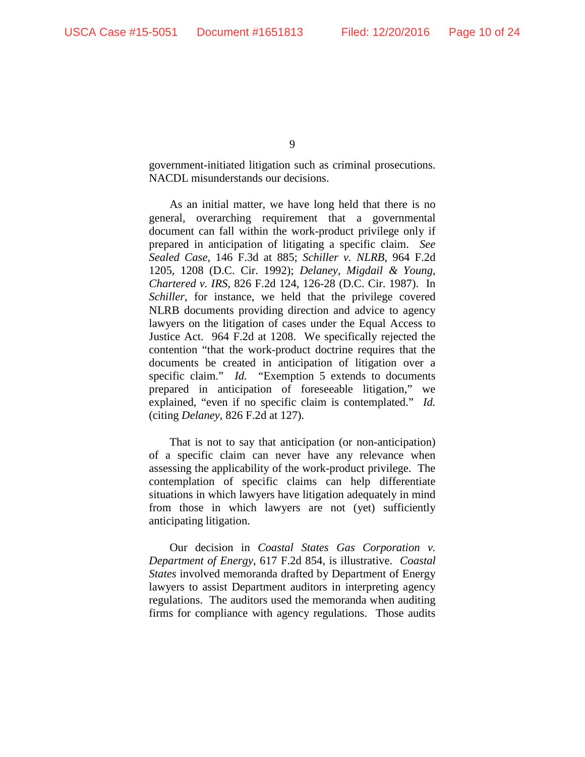government-initiated litigation such as criminal prosecutions. NACDL misunderstands our decisions.

As an initial matter, we have long held that there is no general, overarching requirement that a governmental document can fall within the work-product privilege only if prepared in anticipation of litigating a specific claim. *See Sealed Case*, 146 F.3d at 885; *Schiller v. NLRB*, 964 F.2d 1205, 1208 (D.C. Cir. 1992); *Delaney, Migdail & Young, Chartered v. IRS*, 826 F.2d 124, 126-28 (D.C. Cir. 1987). In *Schiller*, for instance, we held that the privilege covered NLRB documents providing direction and advice to agency lawyers on the litigation of cases under the Equal Access to Justice Act. 964 F.2d at 1208. We specifically rejected the contention "that the work-product doctrine requires that the documents be created in anticipation of litigation over a specific claim." *Id.* "Exemption 5 extends to documents prepared in anticipation of foreseeable litigation," we explained, "even if no specific claim is contemplated." *Id.*  (citing *Delaney*, 826 F.2d at 127).

That is not to say that anticipation (or non-anticipation) of a specific claim can never have any relevance when assessing the applicability of the work-product privilege. The contemplation of specific claims can help differentiate situations in which lawyers have litigation adequately in mind from those in which lawyers are not (yet) sufficiently anticipating litigation.

Our decision in *Coastal States Gas Corporation v. Department of Energy*, 617 F.2d 854, is illustrative. *Coastal States* involved memoranda drafted by Department of Energy lawyers to assist Department auditors in interpreting agency regulations. The auditors used the memoranda when auditing firms for compliance with agency regulations. Those audits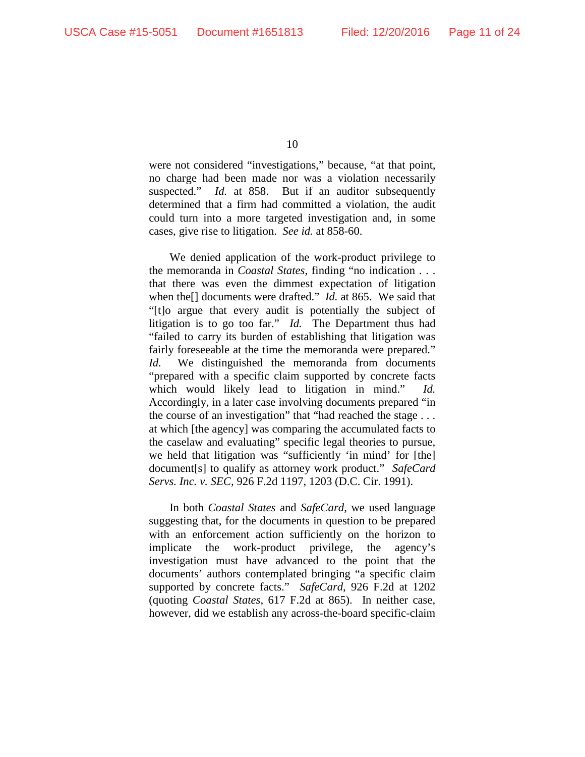were not considered "investigations," because, "at that point, no charge had been made nor was a violation necessarily suspected." *Id.* at 858. But if an auditor subsequently determined that a firm had committed a violation, the audit could turn into a more targeted investigation and, in some cases, give rise to litigation. *See id.* at 858-60.

We denied application of the work-product privilege to the memoranda in *Coastal States*, finding "no indication . . . that there was even the dimmest expectation of litigation when the[] documents were drafted." *Id.* at 865. We said that "[t]o argue that every audit is potentially the subject of litigation is to go too far." *Id.* The Department thus had "failed to carry its burden of establishing that litigation was fairly foreseeable at the time the memoranda were prepared." *Id.* We distinguished the memoranda from documents "prepared with a specific claim supported by concrete facts which would likely lead to litigation in mind." *Id.* Accordingly, in a later case involving documents prepared "in the course of an investigation" that "had reached the stage . . . at which [the agency] was comparing the accumulated facts to the caselaw and evaluating" specific legal theories to pursue, we held that litigation was "sufficiently 'in mind' for [the] document[s] to qualify as attorney work product." *SafeCard Servs. Inc. v. SEC,* 926 F.2d 1197, 1203 (D.C. Cir. 1991).

In both *Coastal States* and *SafeCard*, we used language suggesting that, for the documents in question to be prepared with an enforcement action sufficiently on the horizon to implicate the work-product privilege, the agency's investigation must have advanced to the point that the documents' authors contemplated bringing "a specific claim supported by concrete facts." *SafeCard*, 926 F.2d at 1202 (quoting *Coastal States*, 617 F.2d at 865). In neither case, however, did we establish any across-the-board specific-claim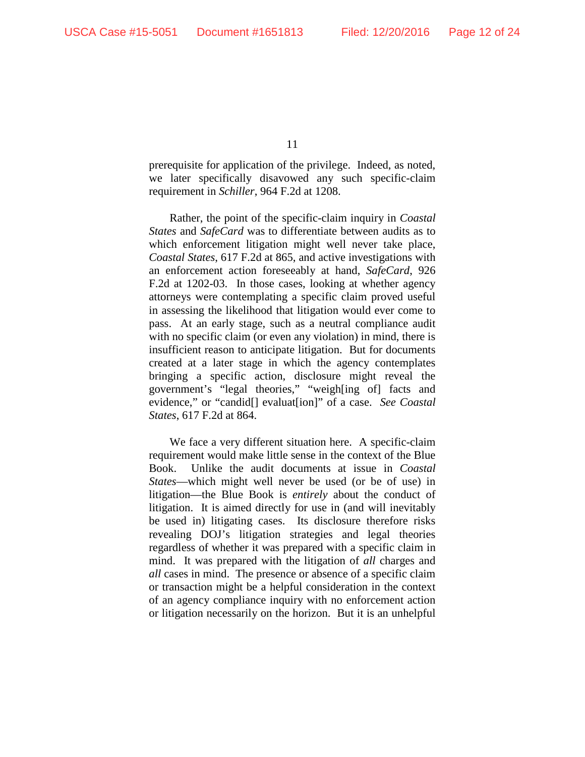prerequisite for application of the privilege. Indeed, as noted, we later specifically disavowed any such specific-claim requirement in *Schiller*, 964 F.2d at 1208.

Rather, the point of the specific-claim inquiry in *Coastal States* and *SafeCard* was to differentiate between audits as to which enforcement litigation might well never take place, *Coastal States*, 617 F.2d at 865, and active investigations with an enforcement action foreseeably at hand, *SafeCard*, 926 F.2d at 1202-03. In those cases, looking at whether agency attorneys were contemplating a specific claim proved useful in assessing the likelihood that litigation would ever come to pass. At an early stage, such as a neutral compliance audit with no specific claim (or even any violation) in mind, there is insufficient reason to anticipate litigation. But for documents created at a later stage in which the agency contemplates bringing a specific action, disclosure might reveal the government's "legal theories," "weigh[ing of] facts and evidence," or "candid[] evaluat[ion]" of a case. *See Coastal States*, 617 F.2d at 864.

We face a very different situation here. A specific-claim requirement would make little sense in the context of the Blue Book. Unlike the audit documents at issue in *Coastal States*—which might well never be used (or be of use) in litigation—the Blue Book is *entirely* about the conduct of litigation. It is aimed directly for use in (and will inevitably be used in) litigating cases. Its disclosure therefore risks revealing DOJ's litigation strategies and legal theories regardless of whether it was prepared with a specific claim in mind. It was prepared with the litigation of *all* charges and *all* cases in mind. The presence or absence of a specific claim or transaction might be a helpful consideration in the context of an agency compliance inquiry with no enforcement action or litigation necessarily on the horizon. But it is an unhelpful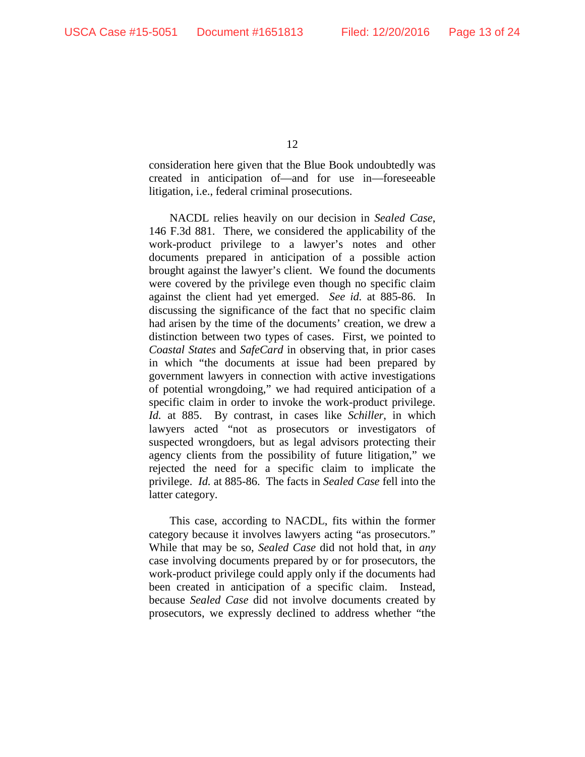consideration here given that the Blue Book undoubtedly was created in anticipation of—and for use in—foreseeable litigation, i.e., federal criminal prosecutions.

NACDL relies heavily on our decision in *Sealed Case*, 146 F.3d 881. There, we considered the applicability of the work-product privilege to a lawyer's notes and other documents prepared in anticipation of a possible action brought against the lawyer's client. We found the documents were covered by the privilege even though no specific claim against the client had yet emerged. *See id.* at 885-86. In discussing the significance of the fact that no specific claim had arisen by the time of the documents' creation, we drew a distinction between two types of cases. First, we pointed to *Coastal States* and *SafeCard* in observing that, in prior cases in which "the documents at issue had been prepared by government lawyers in connection with active investigations of potential wrongdoing," we had required anticipation of a specific claim in order to invoke the work-product privilege. *Id.* at 885. By contrast, in cases like *Schiller*, in which lawyers acted "not as prosecutors or investigators of suspected wrongdoers, but as legal advisors protecting their agency clients from the possibility of future litigation," we rejected the need for a specific claim to implicate the privilege. *Id.* at 885-86. The facts in *Sealed Case* fell into the latter category.

This case, according to NACDL, fits within the former category because it involves lawyers acting "as prosecutors." While that may be so, *Sealed Case* did not hold that, in *any* case involving documents prepared by or for prosecutors, the work-product privilege could apply only if the documents had been created in anticipation of a specific claim. Instead, because *Sealed Case* did not involve documents created by prosecutors, we expressly declined to address whether "the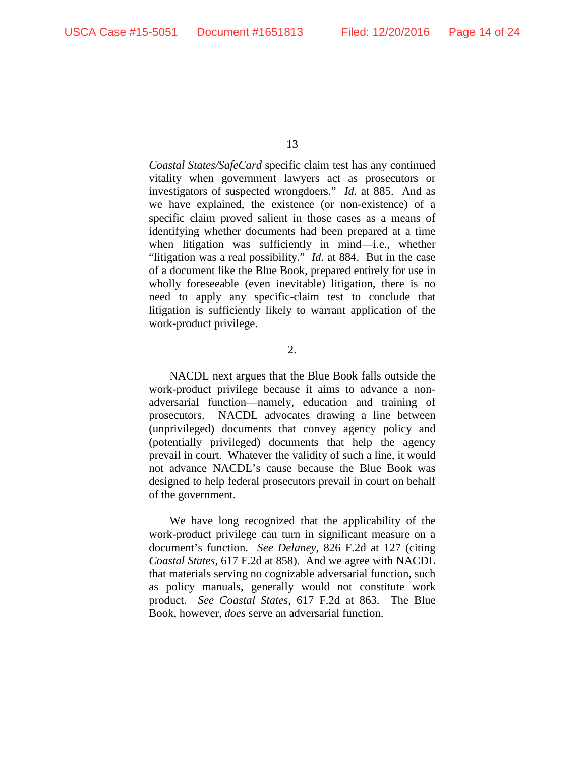*Coastal States/SafeCard* specific claim test has any continued vitality when government lawyers act as prosecutors or investigators of suspected wrongdoers." *Id.* at 885. And as we have explained, the existence (or non-existence) of a specific claim proved salient in those cases as a means of identifying whether documents had been prepared at a time when litigation was sufficiently in mind—i.e., whether "litigation was a real possibility." *Id.* at 884. But in the case of a document like the Blue Book, prepared entirely for use in wholly foreseeable (even inevitable) litigation, there is no need to apply any specific-claim test to conclude that litigation is sufficiently likely to warrant application of the work-product privilege.

2.

NACDL next argues that the Blue Book falls outside the work-product privilege because it aims to advance a nonadversarial function—namely, education and training of prosecutors. NACDL advocates drawing a line between (unprivileged) documents that convey agency policy and (potentially privileged) documents that help the agency prevail in court. Whatever the validity of such a line, it would not advance NACDL's cause because the Blue Book was designed to help federal prosecutors prevail in court on behalf of the government.

We have long recognized that the applicability of the work-product privilege can turn in significant measure on a document's function. *See Delaney*, 826 F.2d at 127 (citing *Coastal States*, 617 F.2d at 858). And we agree with NACDL that materials serving no cognizable adversarial function, such as policy manuals, generally would not constitute work product. *See Coastal States*, 617 F.2d at 863. The Blue Book, however, *does* serve an adversarial function.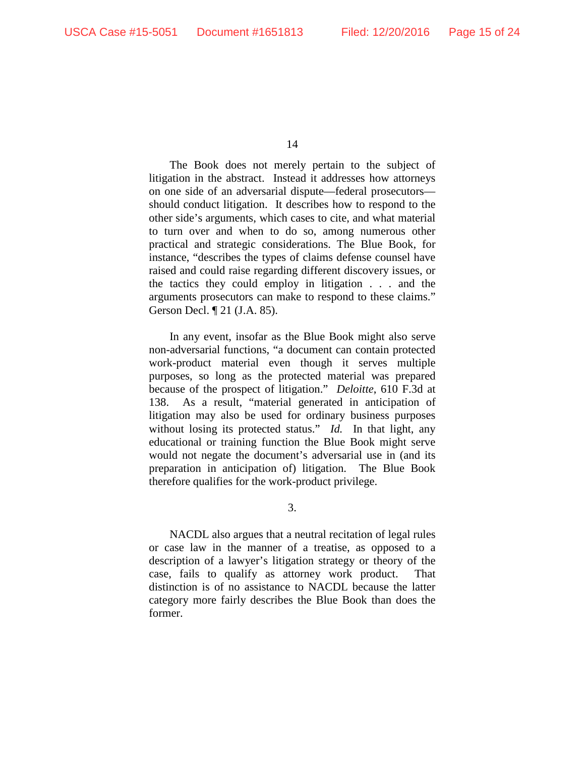The Book does not merely pertain to the subject of litigation in the abstract. Instead it addresses how attorneys on one side of an adversarial dispute—federal prosecutors should conduct litigation. It describes how to respond to the other side's arguments, which cases to cite, and what material to turn over and when to do so, among numerous other practical and strategic considerations. The Blue Book, for instance, "describes the types of claims defense counsel have raised and could raise regarding different discovery issues, or the tactics they could employ in litigation . . . and the arguments prosecutors can make to respond to these claims." Gerson Decl. ¶ 21 (J.A. 85).

In any event, insofar as the Blue Book might also serve non-adversarial functions, "a document can contain protected work-product material even though it serves multiple purposes, so long as the protected material was prepared because of the prospect of litigation." *Deloitte*, 610 F.3d at 138. As a result, "material generated in anticipation of litigation may also be used for ordinary business purposes without losing its protected status." *Id.* In that light, any educational or training function the Blue Book might serve would not negate the document's adversarial use in (and its preparation in anticipation of) litigation. The Blue Book therefore qualifies for the work-product privilege.

3.

NACDL also argues that a neutral recitation of legal rules or case law in the manner of a treatise, as opposed to a description of a lawyer's litigation strategy or theory of the case, fails to qualify as attorney work product. That distinction is of no assistance to NACDL because the latter category more fairly describes the Blue Book than does the former.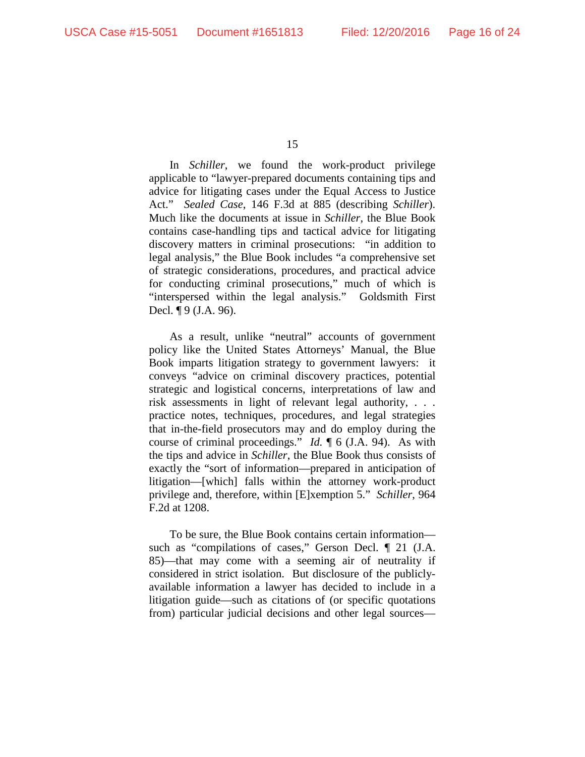In *Schiller*, we found the work-product privilege applicable to "lawyer-prepared documents containing tips and advice for litigating cases under the Equal Access to Justice Act." *Sealed Case*, 146 F.3d at 885 (describing *Schiller*). Much like the documents at issue in *Schiller*, the Blue Book contains case-handling tips and tactical advice for litigating discovery matters in criminal prosecutions: "in addition to legal analysis," the Blue Book includes "a comprehensive set of strategic considerations, procedures, and practical advice for conducting criminal prosecutions," much of which is "interspersed within the legal analysis." Goldsmith First Decl. ¶ 9 (J.A. 96).

As a result, unlike "neutral" accounts of government policy like the United States Attorneys' Manual, the Blue Book imparts litigation strategy to government lawyers: it conveys "advice on criminal discovery practices, potential strategic and logistical concerns, interpretations of law and risk assessments in light of relevant legal authority, . . . practice notes, techniques, procedures, and legal strategies that in-the-field prosecutors may and do employ during the course of criminal proceedings." *Id.* ¶ 6 (J.A. 94). As with the tips and advice in *Schiller*, the Blue Book thus consists of exactly the "sort of information—prepared in anticipation of litigation—[which] falls within the attorney work-product privilege and, therefore, within [E]xemption 5." *Schiller*, 964 F.2d at 1208.

To be sure, the Blue Book contains certain information such as "compilations of cases," Gerson Decl.  $\parallel$  21 (J.A. 85)—that may come with a seeming air of neutrality if considered in strict isolation. But disclosure of the publiclyavailable information a lawyer has decided to include in a litigation guide—such as citations of (or specific quotations from) particular judicial decisions and other legal sources—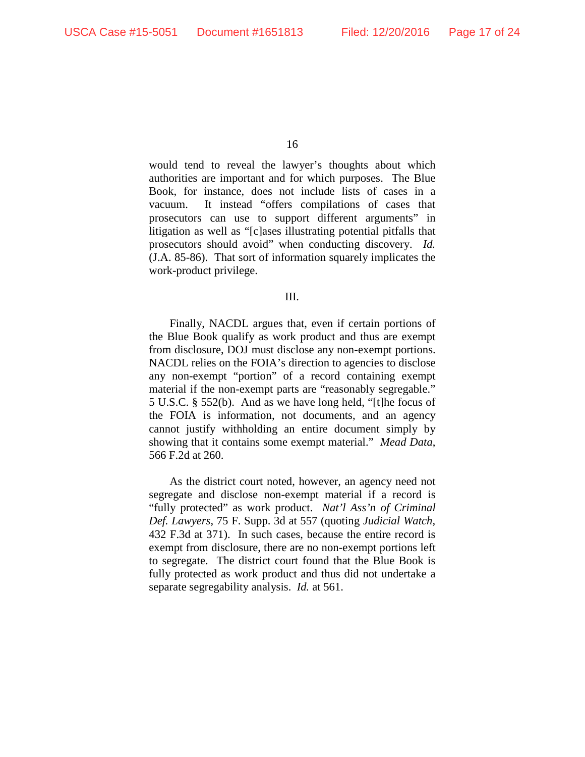would tend to reveal the lawyer's thoughts about which authorities are important and for which purposes. The Blue Book, for instance, does not include lists of cases in a vacuum. It instead "offers compilations of cases that prosecutors can use to support different arguments" in litigation as well as "[c]ases illustrating potential pitfalls that prosecutors should avoid" when conducting discovery. *Id.* (J.A. 85-86). That sort of information squarely implicates the work-product privilege.

#### III.

Finally, NACDL argues that, even if certain portions of the Blue Book qualify as work product and thus are exempt from disclosure, DOJ must disclose any non-exempt portions. NACDL relies on the FOIA's direction to agencies to disclose any non-exempt "portion" of a record containing exempt material if the non-exempt parts are "reasonably segregable." 5 U.S.C. § 552(b). And as we have long held, "[t]he focus of the FOIA is information, not documents, and an agency cannot justify withholding an entire document simply by showing that it contains some exempt material." *Mead Data*, 566 F.2d at 260.

As the district court noted, however, an agency need not segregate and disclose non-exempt material if a record is "fully protected" as work product. *Nat'l Ass'n of Criminal Def. Lawyers*, 75 F. Supp. 3d at 557 (quoting *Judicial Watch,* 432 F.3d at 371). In such cases, because the entire record is exempt from disclosure, there are no non-exempt portions left to segregate. The district court found that the Blue Book is fully protected as work product and thus did not undertake a separate segregability analysis. *Id.* at 561.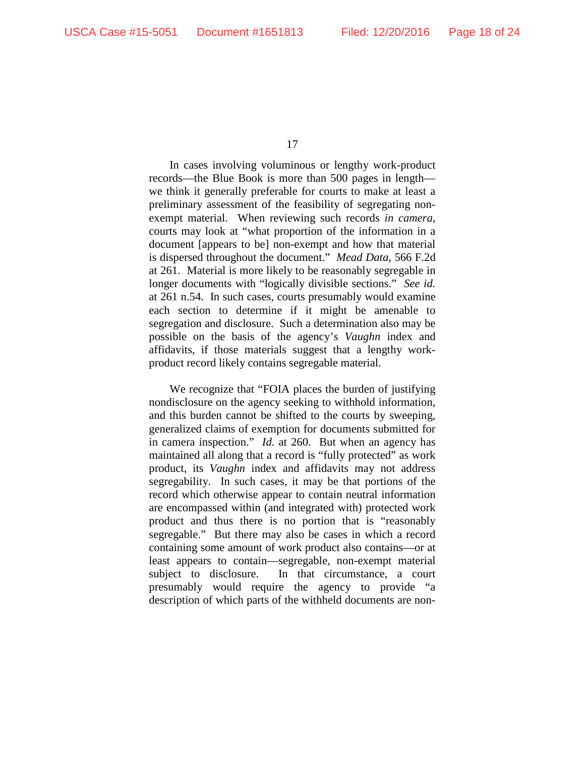In cases involving voluminous or lengthy work-product records—the Blue Book is more than 500 pages in length we think it generally preferable for courts to make at least a preliminary assessment of the feasibility of segregating nonexempt material. When reviewing such records *in camera*, courts may look at "what proportion of the information in a document [appears to be] non-exempt and how that material is dispersed throughout the document." *Mead Data*, 566 F.2d at 261. Material is more likely to be reasonably segregable in longer documents with "logically divisible sections." *See id.* at 261 n.54. In such cases, courts presumably would examine each section to determine if it might be amenable to segregation and disclosure. Such a determination also may be possible on the basis of the agency's *Vaughn* index and affidavits, if those materials suggest that a lengthy workproduct record likely contains segregable material.

We recognize that "FOIA places the burden of justifying nondisclosure on the agency seeking to withhold information, and this burden cannot be shifted to the courts by sweeping, generalized claims of exemption for documents submitted for in camera inspection." *Id.* at 260. But when an agency has maintained all along that a record is "fully protected" as work product, its *Vaughn* index and affidavits may not address segregability. In such cases, it may be that portions of the record which otherwise appear to contain neutral information are encompassed within (and integrated with) protected work product and thus there is no portion that is "reasonably segregable." But there may also be cases in which a record containing some amount of work product also contains—or at least appears to contain—segregable, non-exempt material subject to disclosure. In that circumstance, a court presumably would require the agency to provide "a description of which parts of the withheld documents are non-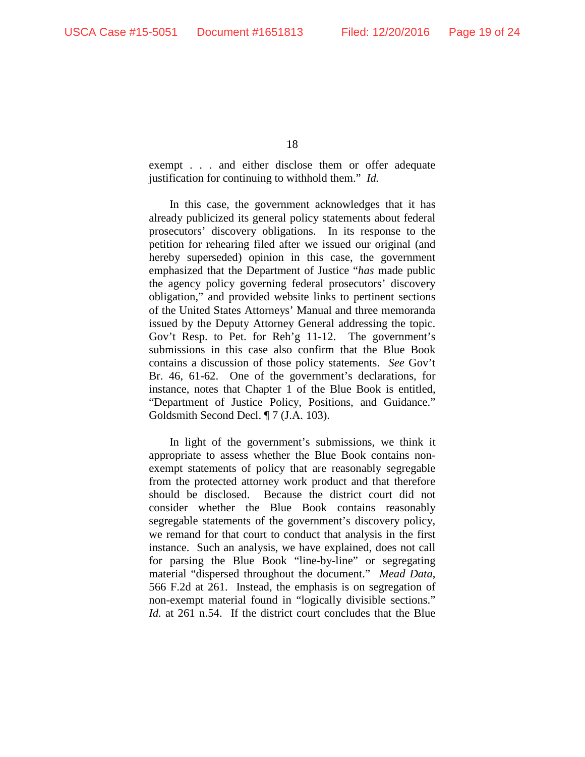exempt . . . and either disclose them or offer adequate justification for continuing to withhold them." *Id.*

In this case, the government acknowledges that it has already publicized its general policy statements about federal prosecutors' discovery obligations. In its response to the petition for rehearing filed after we issued our original (and hereby superseded) opinion in this case, the government emphasized that the Department of Justice "*has* made public the agency policy governing federal prosecutors' discovery obligation," and provided website links to pertinent sections of the United States Attorneys' Manual and three memoranda issued by the Deputy Attorney General addressing the topic. Gov't Resp. to Pet. for Reh'g 11-12. The government's submissions in this case also confirm that the Blue Book contains a discussion of those policy statements. *See* Gov't Br. 46, 61-62. One of the government's declarations, for instance, notes that Chapter 1 of the Blue Book is entitled, "Department of Justice Policy, Positions, and Guidance." Goldsmith Second Decl. ¶ 7 (J.A. 103).

In light of the government's submissions, we think it appropriate to assess whether the Blue Book contains nonexempt statements of policy that are reasonably segregable from the protected attorney work product and that therefore should be disclosed. Because the district court did not consider whether the Blue Book contains reasonably segregable statements of the government's discovery policy, we remand for that court to conduct that analysis in the first instance. Such an analysis, we have explained, does not call for parsing the Blue Book "line-by-line" or segregating material "dispersed throughout the document." *Mead Data*, 566 F.2d at 261. Instead, the emphasis is on segregation of non-exempt material found in "logically divisible sections." *Id.* at 261 n.54. If the district court concludes that the Blue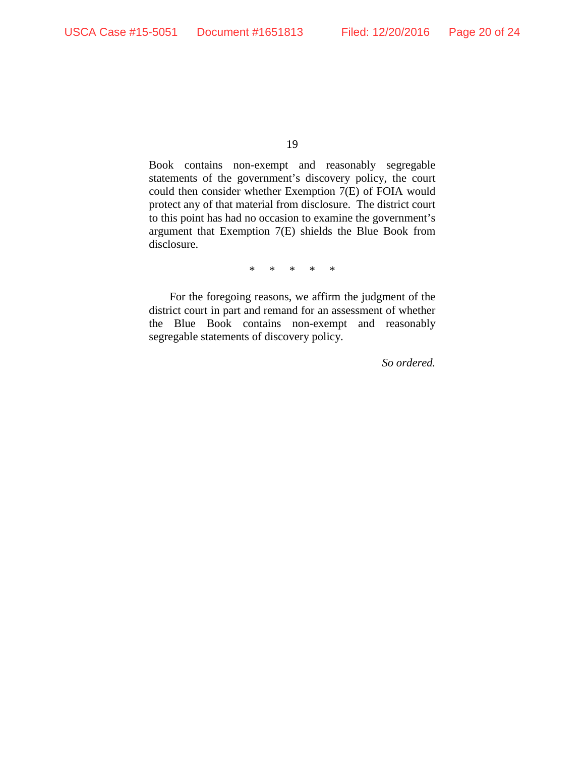Book contains non-exempt and reasonably segregable statements of the government's discovery policy, the court could then consider whether Exemption 7(E) of FOIA would protect any of that material from disclosure. The district court to this point has had no occasion to examine the government's argument that Exemption 7(E) shields the Blue Book from disclosure.

\* \* \* \* \*

For the foregoing reasons, we affirm the judgment of the district court in part and remand for an assessment of whether the Blue Book contains non-exempt and reasonably segregable statements of discovery policy.

*So ordered.*

<sup>19</sup>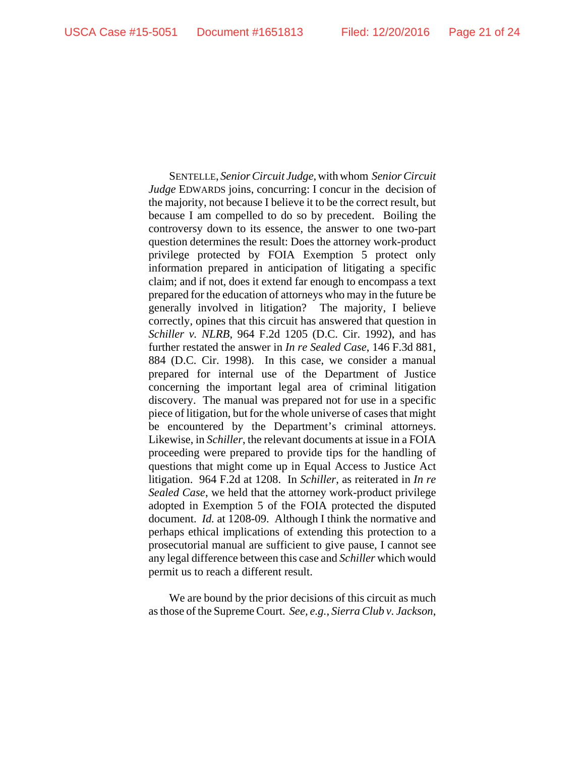SENTELLE, *Senior Circuit Judge*, with whom *Senior Circuit Judge* EDWARDS joins, concurring: I concur in the decision of the majority, not because I believe it to be the correct result, but because I am compelled to do so by precedent. Boiling the controversy down to its essence, the answer to one two-part question determines the result: Does the attorney work-product privilege protected by FOIA Exemption 5 protect only information prepared in anticipation of litigating a specific claim; and if not, does it extend far enough to encompass a text prepared for the education of attorneys who may in the future be generally involved in litigation? The majority, I believe correctly, opines that this circuit has answered that question in *Schiller v. NLRB*, 964 F.2d 1205 (D.C. Cir. 1992), and has further restated the answer in *In re Sealed Case*, 146 F.3d 881, 884 (D.C. Cir. 1998). In this case, we consider a manual prepared for internal use of the Department of Justice concerning the important legal area of criminal litigation discovery. The manual was prepared not for use in a specific piece of litigation, but for the whole universe of cases that might be encountered by the Department's criminal attorneys. Likewise, in *Schiller*, the relevant documents at issue in a FOIA proceeding were prepared to provide tips for the handling of questions that might come up in Equal Access to Justice Act litigation. 964 F.2d at 1208. In *Schiller*, as reiterated in *In re Sealed Case*, we held that the attorney work-product privilege adopted in Exemption 5 of the FOIA protected the disputed document. *Id.* at 1208-09. Although I think the normative and perhaps ethical implications of extending this protection to a prosecutorial manual are sufficient to give pause, I cannot see any legal difference between this case and *Schiller* which would permit us to reach a different result.

We are bound by the prior decisions of this circuit as much as those of the Supreme Court. *See, e.g.*, *Sierra Club v. Jackson*,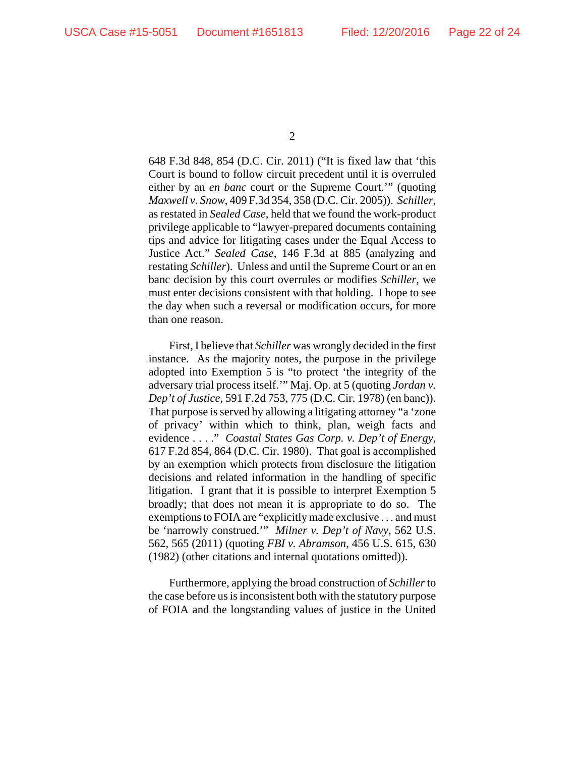648 F.3d 848, 854 (D.C. Cir. 2011) ("It is fixed law that 'this Court is bound to follow circuit precedent until it is overruled either by an *en banc* court or the Supreme Court.'" (quoting *Maxwell v. Snow*, 409 F.3d 354, 358 (D.C. Cir. 2005)). *Schiller*, as restated in *Sealed Case*, held that we found the work-product privilege applicable to "lawyer-prepared documents containing tips and advice for litigating cases under the Equal Access to Justice Act." *Sealed Case*, 146 F.3d at 885 (analyzing and restating *Schiller*). Unless and until the Supreme Court or an en banc decision by this court overrules or modifies *Schiller*, we must enter decisions consistent with that holding. I hope to see the day when such a reversal or modification occurs, for more than one reason.

First, I believe that *Schiller* was wrongly decided in the first instance. As the majority notes, the purpose in the privilege adopted into Exemption 5 is "to protect 'the integrity of the adversary trial process itself.'" Maj. Op. at 5 (quoting *Jordan v. Dep't of Justice*, 591 F.2d 753, 775 (D.C. Cir. 1978) (en banc)). That purpose is served by allowing a litigating attorney "a 'zone of privacy' within which to think, plan, weigh facts and evidence . . . ." *Coastal States Gas Corp. v. Dep't of Energy*, 617 F.2d 854, 864 (D.C. Cir. 1980). That goal is accomplished by an exemption which protects from disclosure the litigation decisions and related information in the handling of specific litigation. I grant that it is possible to interpret Exemption 5 broadly; that does not mean it is appropriate to do so. The exemptions to FOIA are "explicitly made exclusive . . . and must be 'narrowly construed.'" *Milner v. Dep't of Navy*, 562 U.S. 562, 565 (2011) (quoting *FBI v. Abramson*, 456 U.S. 615, 630 (1982) (other citations and internal quotations omitted)).

Furthermore, applying the broad construction of *Schiller* to the case before us is inconsistent both with the statutory purpose of FOIA and the longstanding values of justice in the United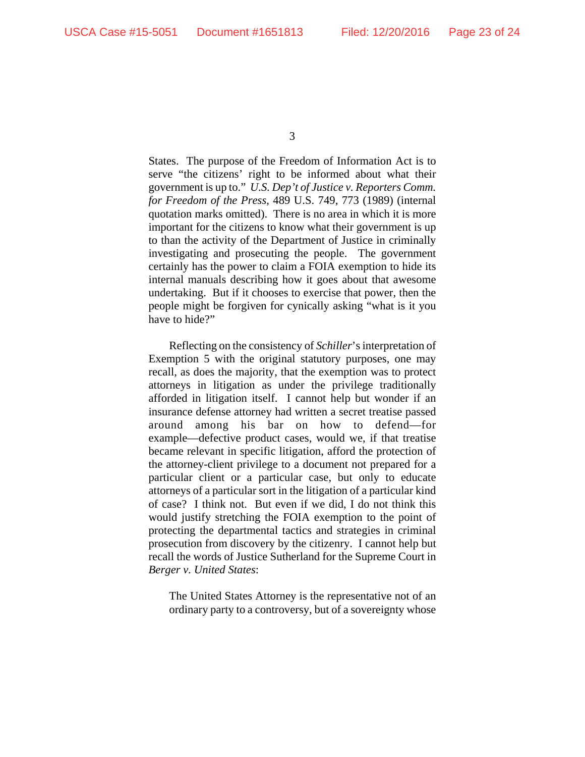States. The purpose of the Freedom of Information Act is to serve "the citizens' right to be informed about what their government is up to." *U.S. Dep't of Justice v. Reporters Comm. for Freedom of the Press*, 489 U.S. 749, 773 (1989) (internal quotation marks omitted). There is no area in which it is more important for the citizens to know what their government is up to than the activity of the Department of Justice in criminally investigating and prosecuting the people. The government certainly has the power to claim a FOIA exemption to hide its internal manuals describing how it goes about that awesome undertaking. But if it chooses to exercise that power, then the people might be forgiven for cynically asking "what is it you have to hide?"

Reflecting on the consistency of *Schiller*'s interpretation of Exemption 5 with the original statutory purposes, one may recall, as does the majority, that the exemption was to protect attorneys in litigation as under the privilege traditionally afforded in litigation itself. I cannot help but wonder if an insurance defense attorney had written a secret treatise passed around among his bar on how to defend—for example—defective product cases, would we, if that treatise became relevant in specific litigation, afford the protection of the attorney-client privilege to a document not prepared for a particular client or a particular case, but only to educate attorneys of a particular sort in the litigation of a particular kind of case? I think not. But even if we did, I do not think this would justify stretching the FOIA exemption to the point of protecting the departmental tactics and strategies in criminal prosecution from discovery by the citizenry. I cannot help but recall the words of Justice Sutherland for the Supreme Court in *Berger v. United States*:

The United States Attorney is the representative not of an ordinary party to a controversy, but of a sovereignty whose